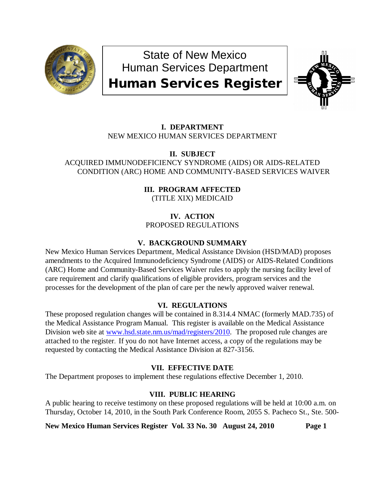

State of New Mexico Human Services Department

Human Services Register



# **I. DEPARTMENT** NEW MEXICO HUMAN SERVICES DEPARTMENT

**II. SUBJECT** ACQUIRED IMMUNODEFICIENCY SYNDROME (AIDS) OR AIDS-RELATED CONDITION (ARC) HOME AND COMMUNITY-BASED SERVICES WAIVER

> **III. PROGRAM AFFECTED** (TITLE XIX) MEDICAID

**IV. ACTION** PROPOSED REGULATIONS

# **V. BACKGROUND SUMMARY**

New Mexico Human Services Department, Medical Assistance Division (HSD/MAD) proposes amendments to the Acquired Immunodeficiency Syndrome (AIDS) or AIDS-Related Conditions (ARC) Home and Community-Based Services Waiver rules to apply the nursing facility level of care requirement and clarify qualifications of eligible providers, program services and the processes for the development of the plan of care per the newly approved waiver renewal.

# **VI. REGULATIONS**

These proposed regulation changes will be contained in 8.314.4 NMAC (formerly MAD.735) of the Medical Assistance Program Manual. This register is available on the Medical Assistance Division web site at [www.hsd.state.nm.us/mad/registers/2010.](http://www.hsd.state.nm.us/mad/registers/2010) The proposed rule changes are attached to the register. If you do not have Internet access, a copy of the regulations may be requested by contacting the Medical Assistance Division at 827-3156.

# **VII. EFFECTIVE DATE**

The Department proposes to implement these regulations effective December 1, 2010.

# **VIII. PUBLIC HEARING**

A public hearing to receive testimony on these proposed regulations will be held at 10:00 a.m. on Thursday, October 14, 2010, in the South Park Conference Room, 2055 S. Pacheco St., Ste. 500-

**New Mexico Human Services Register Vol. 33 No. 30 August 24, 2010 Page 1**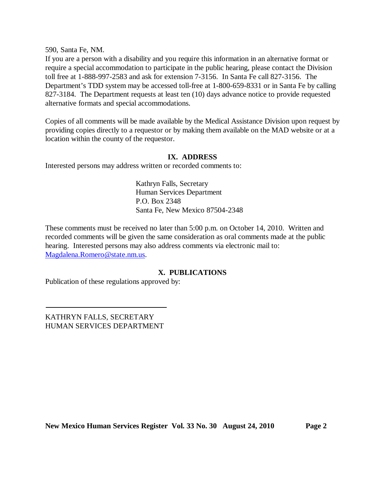590, Santa Fe, NM.

If you are a person with a disability and you require this information in an alternative format or require a special accommodation to participate in the public hearing, please contact the Division toll free at 1-888-997-2583 and ask for extension 7-3156. In Santa Fe call 827-3156. The Department's TDD system may be accessed toll-free at 1-800-659-8331 or in Santa Fe by calling 827-3184. The Department requests at least ten (10) days advance notice to provide requested alternative formats and special accommodations.

Copies of all comments will be made available by the Medical Assistance Division upon request by providing copies directly to a requestor or by making them available on the MAD website or at a location within the county of the requestor.

# **IX. ADDRESS**

Interested persons may address written or recorded comments to:

Kathryn Falls, Secretary Human Services Department P.O. Box 2348 Santa Fe, New Mexico 87504-2348

These comments must be received no later than 5:00 p.m. on October 14, 2010. Written and recorded comments will be given the same consideration as oral comments made at the public hearing. Interested persons may also address comments via electronic mail to: [Magdalena.Romero@state.nm.us.](mailto:Magdalena.Romero@state.nm.us)

# **X. PUBLICATIONS**

Publication of these regulations approved by:

KATHRYN FALLS, SECRETARY HUMAN SERVICES DEPARTMENT

**New Mexico Human Services Register Vol. 33 No. 30 August 24, 2010 Page 2**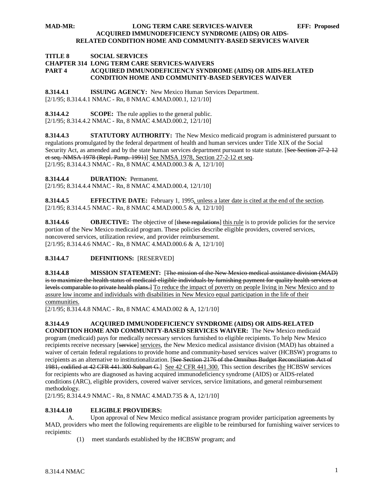#### **TITLE 8 SOCIAL SERVICES CHAPTER 314 LONG TERM CARE SERVICES-WAIVERS PART 4 ACQUIRED IMMUNODEFICIENCY SYNDROME (AIDS) OR AIDS-RELATED CONDITION HOME AND COMMUNITY-BASED SERVICES WAIVER**

**8.314.4.1 ISSUING AGENCY:** New Mexico Human Services Department. [2/1/95; 8.314.4.1 NMAC - Rn, 8 NMAC 4.MAD.000.1, 12/1/10]

**8.314.4.2 SCOPE:** The rule applies to the general public. [2/1/95; 8.314.4.2 NMAC - Rn, 8 NMAC 4.MAD.000.2, 12/1/10]

**8.314.4.3 STATUTORY AUTHORITY:** The New Mexico medicaid program is administered pursuant to regulations promulgated by the federal department of health and human services under Title XIX of the Social Security Act, as amended and by the state human services department pursuant to state statute. [See Section 27-2-12-12] et seq. NMSA 1978 (Repl. Pamp. 1991)] See NMSA 1978, Section 27-2-12 et seq . [2/1/95; 8.314.4.3 NMAC - Rn, 8 NMAC 4.MAD.000.3 & A, 12/1/10]

**8.314.4.4 DURATION:** Permanent.

[2/1/95; 8.314.4.4 NMAC - Rn, 8 NMAC 4.MAD.000.4, 12/1/10]

**8.314.4.5 EFFECTIVE DATE:** February 1, 1995, unless a later date is cited at the end of the section. [2/1/95; 8.314.4.5 NMAC - Rn, 8 NMAC 4.MAD.000.5 & A, 12/1/10]

**8.314.4.6 OBJECTIVE:** The objective of [these regulations] this rule is to provide policies for the service [2/1/95; 8.314.4.6 NMAC - Rn, 8 NMAC 4.MAD.000.6 & A, 12/1/10] portion of the New Mexico medicaid program. These policies describe eligible providers, covered services, noncovered services, utilization review, and provider reimbursement.

#### **8.314.4.7 DEFINITIONS:** [RESERVED]

**8.314.4.8 MISSION STATEMENT:** [The mission of the New Mexico medical assistance division (MAD) is to maximize the health status of medicaid-eligible individuals by furnishing payment for quality health services at levels comparable to private health plans.] To reduce the impact of poverty on people living in New Mexico and to assure low income and individuals with disabilities in New Mexico equal participation in the life of their communities.

[2/1/95; 8.314.4.8 NMAC - Rn, 8 NMAC 4.MAD.002 & A, 12/1/10]

# **8.314.4.9 ACQUIRED IMMUNODEFICIENCY SYNDROME (AIDS) OR AIDS-RELATED**

**CONDITION HOME AND COMMUNITY-BASED SERVICES WAIVER:** The New Mexico medicaid program (medicaid) pays for medically necessary services furnished to eligible recipients. To help New Mexico recipients receive necessary [service] services, the New Mexico medical assistance division (MAD) has obtained a waiver of certain federal regulations to provide home and community-based services waiver (HCBSW) programs to recipients as an alternative to institutionalization. [See Section 2176 of the Omnibus Budget Reconciliation Act of 1981, codified at 42 CFR 441.300 Subpart G.] See 42 CFR 441.300. This section describes the HCBSW services for recipients who are diagnosed as having acquired immunodeficiency syndrome (AIDS) or AIDS-related conditions (ARC), eligible providers, covered waiver services, service limitations, and general reimbursement methodology.

[2/1/95; 8.314.4.9 NMAC - Rn, 8 NMAC 4.MAD.735 & A, 12/1/10]

#### **8.314.4.10 ELIGIBLE PROVIDERS:**

A. Upon approval of New Mexico medical assistance program provider participation agreements by MAD, providers who meet the following requirements are eligible to be reimbursed for furnishing waiver services to recipients:

(1) meet standards established by the HCBSW program; and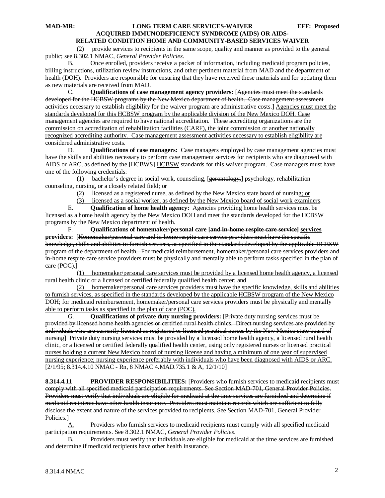(2) provide services to recipients in the same scope, quality and manner as provided to the general public; see 8.302.1 NMAC, *General Provider Policies.*

B. Once enrolled, providers receive a packet of information, including medicaid program policies, billing instructions, utilization review instructions, and other pertinent material from MAD and the department of health (DOH). Providers are responsible for ensuring that they have received these materials and for updating them as new materials are received from MAD.

C. **Qualifications of case management agency providers:** [Agencies must meet the standards developed for the HCBSW programs by the New Mexico department of health. Case management assessment activities necessary to establish eligibility for the waiver program are administrative costs.] Agencies must meet the standards developed for this HCBSW program by the applicable division of the New Mexico DOH. Case management agencies are required to have national accreditation. These accrediting organizations are the commission on accreditation of rehabilitation facilities (CARF), the joint commission or another nationally recognized accrediting authority. Case management assessment activities necessary to establish eligibility are considered administrative costs.

D. **Qualifications of case managers:** Case managers employed by case management agencies must have the skills and abilities necessary to perform case management services for recipients who are diagnosed with AIDS or ARC, as defined by the [HCBWS] HCBSW standards for this waiver program. Case managers must have one of the following credentials:

(1) bachelor's degree in social work, counseling, [gerontology,] psychology, rehabilitation counseling, nursing, or a closely related field; or

(2) licensed as a registered nurse, as defined by the New Mexico state board of nursing: or

(3) licensed as a social worker, as defined by the New Mexico board of social work examiners .

E. **Qualification of home health agency:** Agencies providing home health services must be licensed as a home health agency by the New Mexico DOH and meet the standards developed for the HCBSW programs by the New Mexico department of health.

F. **Qualifications of homemaker/personal care [ and in-home respite care service] services providers:** [Homemaker/personal care and in-home respite care service providers must have the specific knowledge, skills and abilities to furnish services, as specified in the standards developed by the applicable HCBSW program of the department of health. For medicaid reimbursement, homemaker/personal care services providers and in-home respite care service providers must be physically and mentally able to perform tasks specified in the plan of care (POC). ]

 $\overline{\phantom{a}}$ 1) homemaker/personal care services must be provided by a licensed home health agency, a licensed rural health clinic or a licensed or certified federally qualified health center; and

(2) homemaker/personal care services providers must have the specific knowledge, skills and abilities to furnish services, as specified in the standards developed by the applicable HCBSW program of the New Mexico DOH; for medicaid reimbursement, homemaker/personal care services providers must be physically and mentally able to perform tasks as specified in the plan of care (POC).

G. **Qualifications of private duty nursing providers:** [ Private duty nursing services must be provided by licensed home health agencies or certified rural health clinics. Direct nursing services are provided by individuals who are currently licensed as registered or licensed practical nurses by the New Mexico state board of nursing] Private duty nursing services must be provided by a licensed home health agency, a licensed rural health [2/1/95; 8.314.4.10 NMAC - Rn, 8 NMAC 4.MAD.735.1 & A, 12/1/10] clinic, or a licensed or certified federally qualified health center, using only registered nurses or licensed practical nurses holding a current New Mexico board of nursing license and having a minimum of one year of supervised nursing experience; nursing experience preferably with individuals who have been diagnosed with AIDS or ARC.

**8.314.4.11 PROVIDER RESPONSIBILITIES:** [Providers who furnish services to medicaid recipients must comply with all specified medicaid participation requirements. See Section MAD-701, General Provider Policies. Providers must verify that individuals are eligible for medicaid at the time services are furnished and determine if medicaid recipients have other health insurance. Providers must maintain records which are sufficient to fully disclose the extent and nature of the services provided to recipients. See Section MAD-701, General Provider Policies.<sup>1</sup>

A. participation requirements. See 8.302.1 NMAC, *General Provider Policies*. Providers who furnish services to medicaid recipients must comply with all specified medicaid

Providers must verify that individuals are eligible for medicaid at the time services are furnished and determine if medicaid recipients have other health insurance.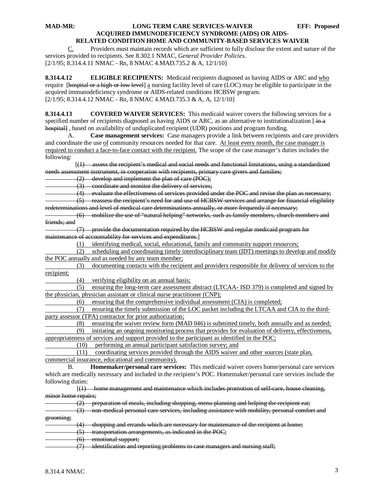C. [2/1/95; 8.314.4.11 NMAC - Rn, 8 NMAC 4.MAD.735.2 & A, 12/1/10] Providers must maintain records which are sufficient to fully disclose the extent and nature of the services provided to recipients. See 8.302.1 NMAC, *General Provider Policies.*

**8.314.4.12 ELIGIBLE RECIPIENTS:** Medicaid recipients diagnosed as having AIDS or ARC and who require [hospital or a high or low level] a nursing facility level of care (LOC) may be eligible to participate in the [2/1/95; 8.314.4.12 NMAC - Rn, 8 NMAC 4.MAD.735.3 & A, A, 12/1/10] acquired immunodeficiency syndrome or AIDS-related conditions HCBSW program.

**8.314.4.13 COVERED WAIVER SERVICES:** This medicaid waiver covers the following services for a specified number of recipients diagnosed as having AIDS or ARC, as an alternative to institutionalization  $\frac{1}{r}$  in a hospital], based on availability of unduplicated recipient (UDR) positions and program funding.

A. **Case management services:** Case managers provide a link between recipients and care providers and coordinate the use of community resources needed for that care. At least every month, the case manager is required to conduct a face-to-face contact with the recipient. The scope of the case manager's duties includes the following:

[*[*] (1) assess the recipient's medical and social needs and functional limitations, using a standardized needs assessment instrument, in cooperation with recipients, primary care givers and families;

(2) develop and implement the plan of care (POC);

(3) coordinate and monitor the delivery of services;

(4) evaluate the effectiveness of services provided under the POC and revise the plan as necessary;

 (5) reassess the recipient's need for and use of HCBSW services and arrange for financial eligibility redeterminations and level of medical care determinations annually, or more frequently if necessary;

 (6) mobilize the use of "natural helping" networks, such as family members, church members and friends; and

 (7) provide the documentation required by the HCBSW and regular medicaid program for maintenance of accountability for services and expenditures. ]

(1) identifying medical, social, educational, family and community support resources;

(2) scheduling and coordinating timely interdisciplinary team (IDT) meetings to develop and modify the POC annually and as needed by any team member;

 (3) documenting contacts with the recipient and providers responsible for delivery of services to the recipient;

(4) verifying eligibility on an annual basis;

 (5) ensuring the long-term care assessment abstract (LTCAA- ISD 379) is completed and signed by the physician, physician assistant or clinical nurse practitioner (CNP);

(6) ensuring that the comprehensive individual assessment (CIA) is completed;

 (7) ensuring the timely submission of the LOC packet including the LTCAA and CIA to the thirdparty assessor (TPA) contractor for prior authorization;

 (8) ensuring the waiver review form (MAD 046) is submitted timely, both annually and as needed; (9) initiating an ongoing monitoring process that provides for evaluation of delivery, effectiveness,

appropriateness of services and support provided to the participant as identified in the POC;

(10) performing an annual participant satisfaction survey; and

 (11) coordinating services provided through the AIDS waiver and other sources (state plan, commercial insurance, educational and community).

B. **Homemaker/personal care services:** This medicaid waiver covers home/personal care services which are medically necessary and included in the recipient's POC. Homemaker/personal care services include the following duties:

 [(1) home management and maintenance which includes promotion of self-care, house cleaning, minor home repairs:

|                      |        | preparation of meals, including shopping, menu planning and helping the recipient eat;            |
|----------------------|--------|---------------------------------------------------------------------------------------------------|
|                      | $\sim$ |                                                                                                   |
|                      |        | non medical personal care services, including assistance with mobility personal comfort and       |
|                      |        | <u>hon meurcar personar care services, meruumg assistance with moonity, personar connor and i</u> |
| <del>grooming;</del> |        |                                                                                                   |
|                      |        |                                                                                                   |
|                      |        | - shopping and errands which are necessary for maintenance of the recipient at home;              |
|                      |        |                                                                                                   |
|                      |        | transportation arrangements, as indicated in the POC;                                             |
|                      |        |                                                                                                   |

(6) emotional support;

(7) identification and reporting problems to case managers and nursing staff;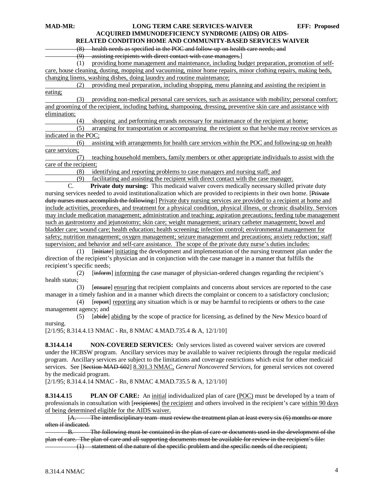## **MAD-MR: LONG TERM CARE SERVICES-WAIVER EFF: Proposed**

### **ACQUIRED IMMUNODEFICIENCY SYNDROME (AIDS) OR AIDS-RELATED CONDITION HOME AND COMMUNITY-BASED SERVICES WAIVER**

(8) health needs as specified in the POC and follow-up on health care needs; and

(9) assisting recipients with direct contact with case managers. ]

 (1) providing home management and maintenance, including budget preparation, promotion of selfcare, house cleaning, dusting, mopping and vacuuming, minor home repairs, minor clothing repairs, making beds, changing linens, washing dishes, doing laundry and routine maintenance;

 (2) providing meal preparation, including shopping, menu planning and assisting the recipient in eating;

 (3) providing non-medical personal care services, such as assistance with mobility; personal comfort; and grooming of the recipient, including bathing, shampooing, dressing, preventive skin care and assistance with elimination;

(4) shopping and performing errands necessary for maintenance of the recipient at home;

 (5) arranging for transportation or accompanying the recipient so that he/she may receive services as indicated in the POC;

 (6) assisting with arrangements for health care services within the POC and following-up on health care services;

 (7) teaching household members, family members or other appropriate individuals to assist with the care of the recipient;

(8) identifying and reporting problems to case managers and nursing staff; and

(9) facilitating and assisting the recipient with direct contact with the case manager.

C. **Private duty nursing:** This medicaid waiver covers medically necessary skilled private duty nursing services needed to avoid institutionalization which are provided to recipients in their own home. [Private duty nurses must accomplish the following:] Private duty nursing services are provided to a recipient at home and include activities, procedures, and treatment for a physical condition, physical illness, or chronic disability. Services may include medication management; administration and teaching; aspiration precautions; feeding tube management such as gastrostomy and jejunostomy; skin care; weight management; urinary catheter management; bowel and bladder care; wound care; health education; health screening; infection control; environmental management for safety; nutrition management; oxygen management; seizure management and precautions; anxiety reduction; staff supervision; and behavior and self-care assistance. The scope of the private duty nurse's duties includes:

 $(1)$ initiate] initiating the development and implementation of the nursing treatment plan under the direction of the recipient's physician and in conjunction with the case manager in a manner that fulfills the recipient's specific needs;

 $(2)$ inform] informing the case manager of physician-ordered changes regarding the recipient's health status;

(3) [ensure] ensuring that recipient complaints and concerns about services are reported to the case manager in a timely fashion and in a manner which directs the complaint or concern to a satisfactory conclusion;

(4) [**report**] reporting any situation which is or may be harmful to recipients or others to the case management agency; and

 $(5)$ abide] abiding by the scope of practice for licensing, as defined by the New Mexico board of nursing.

[2/1/95; 8.314.4.13 NMAC - Rn, 8 NMAC 4.MAD.735.4 & A, 12/1/10]

**8.314.4.14 NON-COVERED SERVICES:** Only services listed as covered waiver services are covered under the HCBSW program. Ancillary services may be available to waiver recipients through the regular medicaid program. Ancillary services are subject to the limitations and coverage restrictions which exist for other medicaid services. See [Section MAD-602] 8.301.3 NMAC, *General Noncovered Services,* for general services not covered by the medicaid program.

[2/1/95; 8.314.4.14 NMAC - Rn, 8 NMAC 4.MAD.735.5 & A, 12/1/10]

**8.314.4.15 PLAN OF CARE:** An initial individualized plan of care (POC) must be developed by a team of professionals in consultation with [recipients] the recipient and others involved in the recipient's care within 90 days of being determined eligible for the AIDS waiver.

[A. The interdisciplinary team must review the treatment plan at least every six (6) months or more often if indicated.

The following must be contained in the plan of care or documents used in the development of the plan of care. The plan of care and all supporting documents must be available for review in the recipient's file: (1) statement of the nature of the specific problem and the specific needs of the recipient;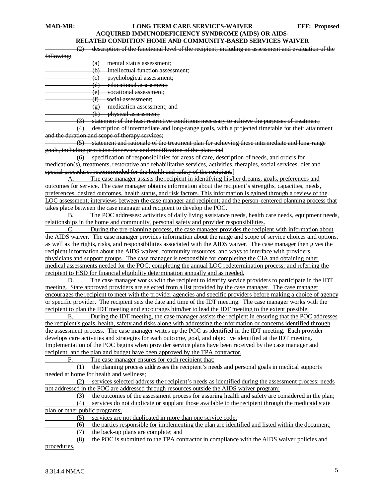#### **MAD-MR: LONG TERM CARE SERVICES-WAIVER EFF: Proposed**

## **ACQUIRED IMMUNODEFICIENCY SYNDROME (AIDS) OR AIDS-RELATED CONDITION HOME AND COMMUNITY-BASED SERVICES WAIVER**

(2) description of the functional level of the recipient, including an assessment and evaluation of the

| $fall_{\alpha\nu\dot{\alpha}\alpha\dot{\alpha}}$<br>1 <del>0110 wili</del> s. |                                                                                                          |
|-------------------------------------------------------------------------------|----------------------------------------------------------------------------------------------------------|
|                                                                               | (ດ່<br>mental status assessment:<br>.a                                                                   |
|                                                                               | ′ኈ`<br>intellectual function assessment;<br>. U 1                                                        |
|                                                                               | nevehological accordants<br>$\sim$<br><del>psychological assessiliciit;</del><br>$\overline{\mathbf{c}}$ |
|                                                                               | educational assessment;<br>u.                                                                            |
|                                                                               | vocational assessment;<br>' പ<br>Ċ                                                                       |
|                                                                               | $+$<br>social assessment;                                                                                |
|                                                                               | modication association and<br>$\sim$<br><del>mearcanon assessment, and</del><br>51                       |
|                                                                               | ′ኈ<br>physical assossment:<br>physical assessment,<br>(II)                                               |
| J                                                                             | statement of the least restrictive conditions necessary to achieve the purposes of treatment.            |
| (A`<br>ᅮ                                                                      | description of intermediate and long range goals, with a projected timetable for their attainment        |
|                                                                               |                                                                                                          |

and the duration and scope of therapy services;

 (5) statement and rationale of the treatment plan for achieving these intermediate and long-range goals, including provision for review and modification of the plan; and

 (6) specification of responsibilities for areas of care, description of needs, and orders for medication(s), treatments, restorative and rehabilitative services, activities, therapies, social services, diet and special procedures recommended for the health and safety of the recipient.

A. The case manager assists the recipient in identifying his/her dreams, goals, preferences and outcomes for service. The case manager obtains information about the recipient's strengths, capacities, needs, preferences, desired outcomes, health status, and risk factors. This information is gained through a review of the LOC assessment; interviews between the case manager and recipient; and the person-centered planning process that takes place between the case manager and recipient to develop the POC.<br>B. The POC addresses: activities of daily living assistance

The POC addresses: activities of daily living assistance needs, health care needs, equipment needs, relationships in the home and community, personal safety and provider responsibilities.

C. During the pre-planning process, the case manager provides the recipient with information about the AIDS waiver. The case manager provides information about the range and scope of service choices and options, as well as the rights, risks, and responsibilities associated with the AIDS waiver. The case manager then gives the recipient information about the AIDS waiver, community resources, and ways to interface with providers, physicians and support groups. The case manager is responsible for completing the CIA and obtaining other medical assessments needed for the POC; completing the annual LOC redetermination process; and referring the recipient to HSD for financial eligibility determination annually and as needed.<br>D. The case manager works with the recipient to identify service

The case manager works with the recipient to identify service providers to participate in the IDT meeting. State approved providers are selected from a list provided by the case manager. The case manager encourages the recipient to meet with the provider agencies and specific providers before making a choice of agency or specific provider. The recipient sets the date and time of the IDT meeting. The case manager works with the recipient to plan the IDT meeting and encourages him/her to lead the IDT meeting to the extent possible.

E. During the IDT meeting, the case manager assists the recipient in ensuring that the POC addresses the recipient's goals, health, safety and risks along with addressing the information or concerns identified through the assessment process. The case manager writes up the POC as identified in the IDT meeting. Each provider develops care activities and strategies for each outcome, goal, and objective identified at the IDT meeting. Implementation of the POC begins when provider service plans have been received by the case manager and recipient, and the plan and budget have been approved by the TPA contractor.

F. The case manager ensures for each recipient that:

 (1) the planning process addresses the recipient's needs and personal goals in medical supports needed at home for health and wellness;

 (2) services selected address the recipient's needs as identified during the assessment process; needs not addressed in the POC are addressed through resources outside the AIDS waiver program;

(3) the outcomes of the assessment process for assuring health and safety are considered in the plan;

 (4) services do not duplicate or supplant those available to the recipient through the medicaid state plan or other public programs;

(5) services are not duplicated in more than one service code;

 (6) the parties responsible for implementing the plan are identified and listed within the document; (7) the back-up plans are complete; and

 (8) the POC is submitted to the TPA contractor in compliance with the AIDS waiver policies and procedures.